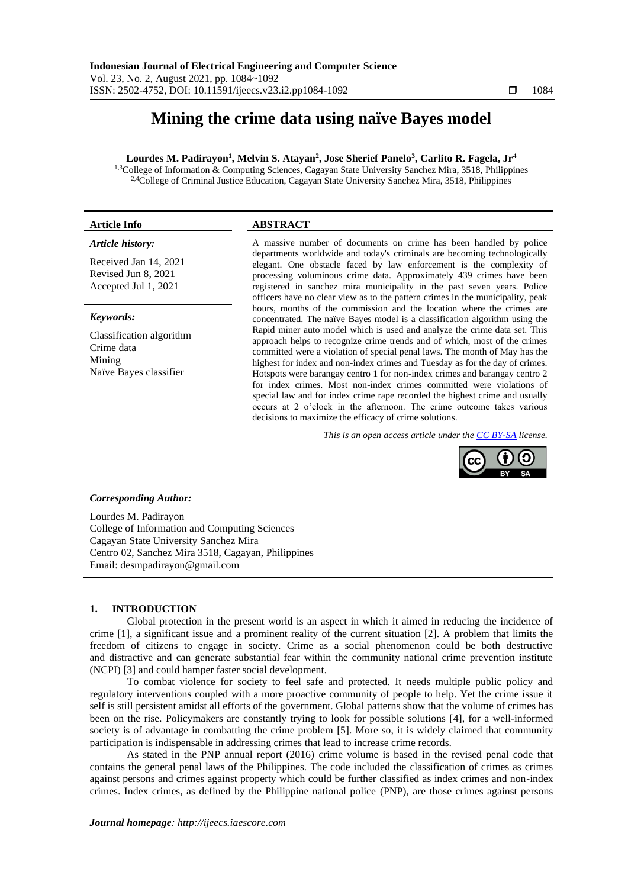# **Mining the crime data using naïve Bayes model**

# **Lourdes M. Padirayon<sup>1</sup> , Melvin S. Atayan<sup>2</sup> , Jose Sherief Panelo<sup>3</sup> , Carlito R. Fagela, Jr<sup>4</sup>**

1,3College of Information & Computing Sciences, Cagayan State University Sanchez Mira, 3518, Philippines 2,4College of Criminal Justice Education, Cagayan State University Sanchez Mira, 3518, Philippines

# **Article Info ABSTRACT**

#### *Article history:*

Received Jan 14, 2021 Revised Jun 8, 2021 Accepted Jul 1, 2021

#### *Keywords:*

Classification algorithm Crime data Mining Naïve Bayes classifier

A massive number of documents on crime has been handled by police departments worldwide and today's criminals are becoming technologically elegant. One obstacle faced by law enforcement is the complexity of processing voluminous crime data. Approximately 439 crimes have been registered in sanchez mira municipality in the past seven years. Police officers have no clear view as to the pattern crimes in the municipality, peak hours, months of the commission and the location where the crimes are concentrated. The naïve Bayes model is a classification algorithm using the Rapid miner auto model which is used and analyze the crime data set. This approach helps to recognize crime trends and of which, most of the crimes committed were a violation of special penal laws. The month of May has the highest for index and non-index crimes and Tuesday as for the day of crimes. Hotspots were barangay centro 1 for non-index crimes and barangay centro 2 for index crimes. Most non-index crimes committed were violations of special law and for index crime rape recorded the highest crime and usually occurs at 2 o'clock in the afternoon. The crime outcome takes various decisions to maximize the efficacy of crime solutions.

*This is an open access article under the [CC BY-SA](https://creativecommons.org/licenses/by-sa/4.0/) license.*



### *Corresponding Author:*

Lourdes M. Padirayon College of Information and Computing Sciences Cagayan State University Sanchez Mira Centro 02, Sanchez Mira 3518, Cagayan, Philippines Email: desmpadirayon@gmail.com

### **1. INTRODUCTION**

Global protection in the present world is an aspect in which it aimed in reducing the incidence of crime [1], a significant issue and a prominent reality of the current situation [2]. A problem that limits the freedom of citizens to engage in society. Crime as a social phenomenon could be both destructive and distractive and can generate substantial fear within the community national crime prevention institute (NCPI) [3] and could hamper faster social development.

To combat violence for society to feel safe and protected. It needs multiple public policy and regulatory interventions coupled with a more proactive community of people to help. Yet the crime issue it self is still persistent amidst all efforts of the government. Global patterns show that the volume of crimes has been on the rise. Policymakers are constantly trying to look for possible solutions [4], for a well-informed society is of advantage in combatting the crime problem [5]. More so, it is widely claimed that community participation is indispensable in addressing crimes that lead to increase crime records.

As stated in the PNP annual report (2016) crime volume is based in the revised penal code that contains the general penal laws of the Philippines. The code included the classification of crimes as crimes against persons and crimes against property which could be further classified as index crimes and non-index crimes. Index crimes, as defined by the Philippine national police (PNP), are those crimes against persons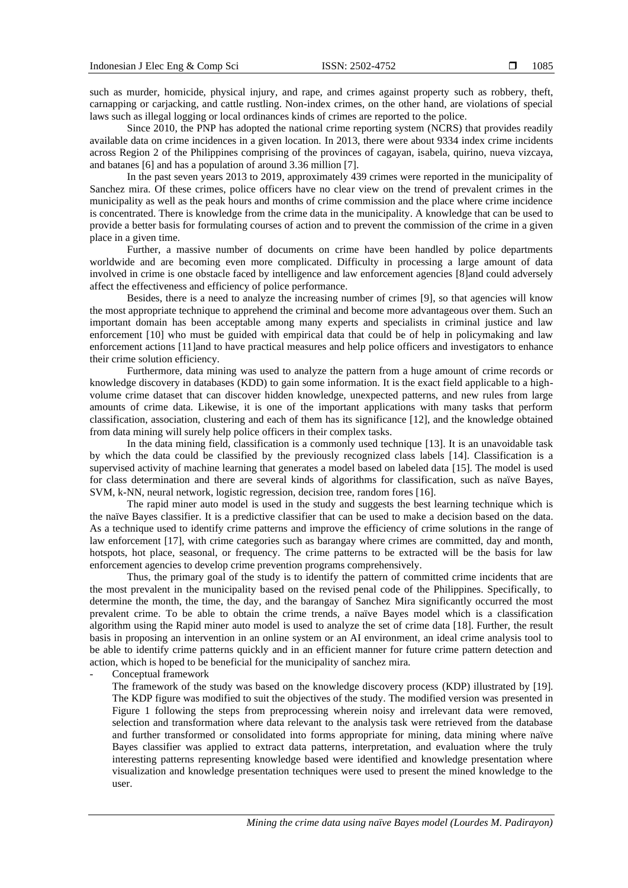such as murder, homicide, physical injury, and rape, and crimes against property such as robbery, theft, carnapping or carjacking, and cattle rustling. Non-index crimes, on the other hand, are violations of special laws such as illegal logging or local ordinances kinds of crimes are reported to the police.

Since 2010, the PNP has adopted the national crime reporting system (NCRS) that provides readily available data on crime incidences in a given location. In 2013, there were about 9334 index crime incidents across Region 2 of the Philippines comprising of the provinces of cagayan, isabela, quirino, nueva vizcaya, and batanes [6] and has a population of around 3.36 million [7].

In the past seven years 2013 to 2019, approximately 439 crimes were reported in the municipality of Sanchez mira. Of these crimes, police officers have no clear view on the trend of prevalent crimes in the municipality as well as the peak hours and months of crime commission and the place where crime incidence is concentrated. There is knowledge from the crime data in the municipality. A knowledge that can be used to provide a better basis for formulating courses of action and to prevent the commission of the crime in a given place in a given time.

Further, a massive number of documents on crime have been handled by police departments worldwide and are becoming even more complicated. Difficulty in processing a large amount of data involved in crime is one obstacle faced by intelligence and law enforcement agencies [8]and could adversely affect the effectiveness and efficiency of police performance.

Besides, there is a need to analyze the increasing number of crimes [9], so that agencies will know the most appropriate technique to apprehend the criminal and become more advantageous over them. Such an important domain has been acceptable among many experts and specialists in criminal justice and law enforcement [10] who must be guided with empirical data that could be of help in policymaking and law enforcement actions [11]and to have practical measures and help police officers and investigators to enhance their crime solution efficiency.

Furthermore, data mining was used to analyze the pattern from a huge amount of crime records or knowledge discovery in databases (KDD) to gain some information. It is the exact field applicable to a highvolume crime dataset that can discover hidden knowledge, unexpected patterns, and new rules from large amounts of crime data. Likewise, it is one of the important applications with many tasks that perform classification, association, clustering and each of them has its significance [12], and the knowledge obtained from data mining will surely help police officers in their complex tasks.

In the data mining field, classification is a commonly used technique [13]. It is an unavoidable task by which the data could be classified by the previously recognized class labels [14]. Classification is a supervised activity of machine learning that generates a model based on labeled data [15]. The model is used for class determination and there are several kinds of algorithms for classification, such as naïve Bayes, SVM, k-NN, neural network, logistic regression, decision tree, random fores [16].

The rapid miner auto model is used in the study and suggests the best learning technique which is the naïve Bayes classifier. It is a predictive classifier that can be used to make a decision based on the data. As a technique used to identify crime patterns and improve the efficiency of crime solutions in the range of law enforcement [17], with crime categories such as barangay where crimes are committed, day and month, hotspots, hot place, seasonal, or frequency. The crime patterns to be extracted will be the basis for law enforcement agencies to develop crime prevention programs comprehensively.

Thus, the primary goal of the study is to identify the pattern of committed crime incidents that are the most prevalent in the municipality based on the revised penal code of the Philippines. Specifically, to determine the month, the time, the day, and the barangay of Sanchez Mira significantly occurred the most prevalent crime. To be able to obtain the crime trends, a naïve Bayes model which is a classification algorithm using the Rapid miner auto model is used to analyze the set of crime data [18]. Further, the result basis in proposing an intervention in an online system or an AI environment, an ideal crime analysis tool to be able to identify crime patterns quickly and in an efficient manner for future crime pattern detection and action, which is hoped to be beneficial for the municipality of sanchez mira.

- Conceptual framework

The framework of the study was based on the knowledge discovery process (KDP) illustrated by [19]. The KDP figure was modified to suit the objectives of the study. The modified version was presented in Figure 1 following the steps from preprocessing wherein noisy and irrelevant data were removed, selection and transformation where data relevant to the analysis task were retrieved from the database and further transformed or consolidated into forms appropriate for mining, data mining where naïve Bayes classifier was applied to extract data patterns, interpretation, and evaluation where the truly interesting patterns representing knowledge based were identified and knowledge presentation where visualization and knowledge presentation techniques were used to present the mined knowledge to the user.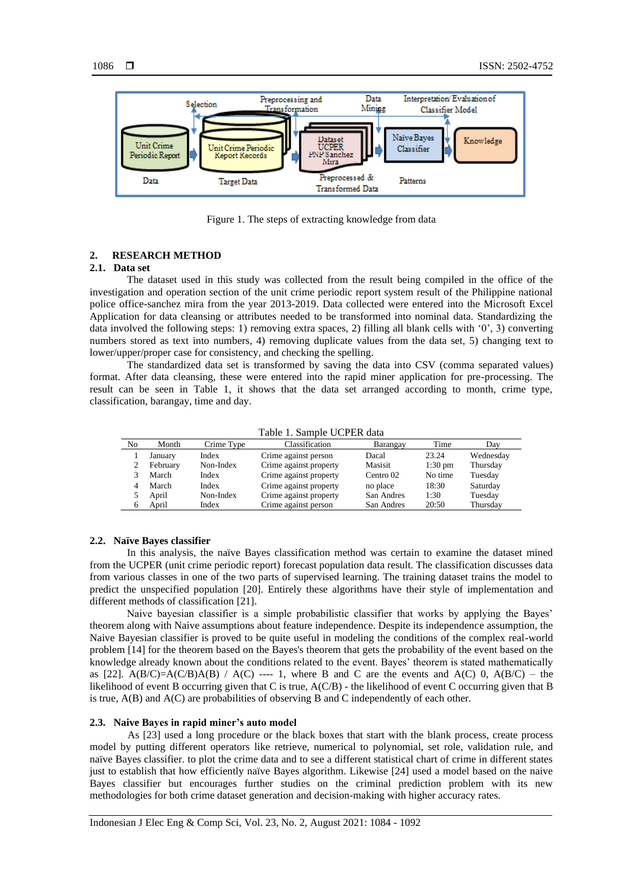

Figure 1. The steps of extracting knowledge from data

### **2. RESEARCH METHOD**

# **2.1. Data set**

The dataset used in this study was collected from the result being compiled in the office of the investigation and operation section of the unit crime periodic report system result of the Philippine national police office-sanchez mira from the year 2013-2019. Data collected were entered into the Microsoft Excel Application for data cleansing or attributes needed to be transformed into nominal data. Standardizing the data involved the following steps: 1) removing extra spaces, 2) filling all blank cells with '0', 3) converting numbers stored as text into numbers, 4) removing duplicate values from the data set, 5) changing text to lower/upper/proper case for consistency, and checking the spelling.

The standardized data set is transformed by saving the data into CSV (comma separated values) format. After data cleansing, these were entered into the rapid miner application for pre-processing. The result can be seen in Table 1, it shows that the data set arranged according to month, crime type, classification, barangay, time and day.

#### Table 1. Sample UCPER data

| No | Month    | Crime Type | Classification         | Barangay   | Time              | Dav       |
|----|----------|------------|------------------------|------------|-------------------|-----------|
|    | January  | Index      | Crime against person   | Dacal      | 23.24             | Wednesday |
|    | February | Non-Index  | Crime against property | Masisit    | $1:30 \text{ pm}$ | Thursday  |
|    | March    | Index      | Crime against property | Centro 02  | No time           | Tuesday   |
|    | March    | Index      | Crime against property | no place   | 18:30             | Saturday  |
|    | April    | Non-Index  | Crime against property | San Andres | 1:30              | Tuesday   |
|    | April    | Index      | Crime against person   | San Andres | 20:50             | Thursday  |

#### **2.2. Naïve Bayes classifier**

In this analysis, the naïve Bayes classification method was certain to examine the dataset mined from the UCPER (unit crime periodic report) forecast population data result. The classification discusses data from various classes in one of the two parts of supervised learning. The training dataset trains the model to predict the unspecified population [20]. Entirely these algorithms have their style of implementation and different methods of classification [21].

Naive bayesian classifier is a simple probabilistic classifier that works by applying the Bayes' theorem along with Naive assumptions about feature independence. Despite its independence assumption, the Naive Bayesian classifier is proved to be quite useful in modeling the conditions of the complex real-world problem [14] for the theorem based on the Bayes's theorem that gets the probability of the event based on the knowledge already known about the conditions related to the event. Bayes' theorem is stated mathematically as [22].  $A(B/C)=A(C/B)A(B)$  /  $A(C)$  ---- 1, where B and C are the events and  $A(C)$  0,  $A(B/C)$  – the likelihood of event B occurring given that C is true, A(C/B) - the likelihood of event C occurring given that B is true, A(B) and A(C) are probabilities of observing B and C independently of each other.

### **2.3. Naive Bayes in rapid miner's auto model**

As [23] used a long procedure or the black boxes that start with the blank process, create process model by putting different operators like retrieve, numerical to polynomial, set role, validation rule, and naïve Bayes classifier. to plot the crime data and to see a different statistical chart of crime in different states just to establish that how efficiently naïve Bayes algorithm. Likewise [24] used a model based on the naive Bayes classifier but encourages further studies on the criminal prediction problem with its new methodologies for both crime dataset generation and decision-making with higher accuracy rates.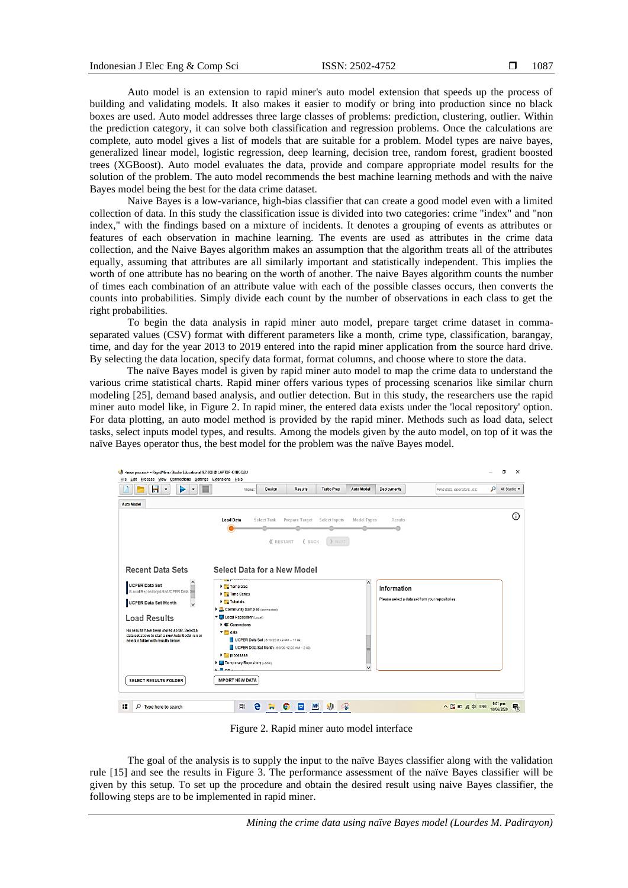Auto model is an extension to rapid miner's auto model extension that speeds up the process of building and validating models. It also makes it easier to modify or bring into production since no black boxes are used. Auto model addresses three large classes of problems: prediction, clustering, outlier. Within the prediction category, it can solve both classification and regression problems. Once the calculations are complete, auto model gives a list of models that are suitable for a problem. Model types are naive bayes, generalized linear model, logistic regression, deep learning, decision tree, random forest, gradient boosted trees (XGBoost). Auto model evaluates the data, provide and compare appropriate model results for the solution of the problem. The auto model recommends the best machine learning methods and with the naive Bayes model being the best for the data crime dataset.

Naive Bayes is a low-variance, high-bias classifier that can create a good model even with a limited collection of data. In this study the classification issue is divided into two categories: crime "index" and "non index," with the findings based on a mixture of incidents. It denotes a grouping of events as attributes or features of each observation in machine learning. The events are used as attributes in the crime data collection, and the Naive Bayes algorithm makes an assumption that the algorithm treats all of the attributes equally, assuming that attributes are all similarly important and statistically independent. This implies the worth of one attribute has no bearing on the worth of another. The naive Bayes algorithm counts the number of times each combination of an attribute value with each of the possible classes occurs, then converts the counts into probabilities. Simply divide each count by the number of observations in each class to get the right probabilities.

To begin the data analysis in rapid miner auto model, prepare target crime dataset in commaseparated values (CSV) format with different parameters like a month, crime type, classification, barangay, time, and day for the year 2013 to 2019 entered into the rapid miner application from the source hard drive. By selecting the data location, specify data format, format columns, and choose where to store the data.

The naïve Bayes model is given by rapid miner auto model to map the crime data to understand the various crime statistical charts. Rapid miner offers various types of processing scenarios like similar churn modeling [25], demand based analysis, and outlier detection. But in this study, the researchers use the rapid miner auto model like, in Figure 2. In rapid miner, the entered data exists under the 'local repository' option. For data plotting, an auto model method is provided by the rapid miner. Methods such as load data, select tasks, select inputs model types, and results. Among the models given by the auto model, on top of it was the naïve Bayes operator thus, the best model for the problem was the naïve Bayes model.

| н<br>▶<br>$\bullet$<br>۰<br>٠                                                                                                                                                          | Views:                                                      | <b>Design</b>      | <b>Results</b>               | <b>Turbo Prep</b> | <b>Auto Model</b> | <b>Deployments</b>                               | Find data, operatorsetc | ۹<br>All Studio = |
|----------------------------------------------------------------------------------------------------------------------------------------------------------------------------------------|-------------------------------------------------------------|--------------------|------------------------------|-------------------|-------------------|--------------------------------------------------|-------------------------|-------------------|
| <b>Auto Model</b>                                                                                                                                                                      |                                                             |                    |                              |                   |                   |                                                  |                         |                   |
|                                                                                                                                                                                        | <b>Load Data</b>                                            | <b>Select Task</b> | Prepare Target Select Inputs |                   | Model Types       | Results                                          |                         | ⋒                 |
|                                                                                                                                                                                        |                                                             |                    |                              |                   |                   |                                                  |                         |                   |
|                                                                                                                                                                                        |                                                             | <b>《</b> RESTART   | <b><back< b=""></back<></b>  | > NEXT            |                   |                                                  |                         |                   |
|                                                                                                                                                                                        |                                                             |                    |                              |                   |                   |                                                  |                         |                   |
| <b>Recent Data Sets</b>                                                                                                                                                                | Select Data for a New Model                                 |                    |                              |                   |                   |                                                  |                         |                   |
|                                                                                                                                                                                        |                                                             |                    |                              |                   |                   |                                                  |                         |                   |
| <b>UCPER Data Set</b><br>//Local Repository/data/UCPER Data S                                                                                                                          | <b>Templates</b>                                            |                    |                              |                   |                   | <b>Information</b>                               |                         |                   |
| UCPER Data Set Month<br>$\checkmark$                                                                                                                                                   | <b>Time Series</b><br>$\blacksquare$ Tutorials              |                    |                              |                   |                   | Please select a data set from your repositories. |                         |                   |
|                                                                                                                                                                                        | Community Samples (connected)                               |                    |                              |                   |                   |                                                  |                         |                   |
|                                                                                                                                                                                        |                                                             |                    |                              |                   |                   |                                                  |                         |                   |
|                                                                                                                                                                                        | Local Repository (Local)<br>Connections                     |                    |                              |                   |                   |                                                  |                         |                   |
|                                                                                                                                                                                        | $\blacktriangleright$ $\blacksquare$ data                   |                    |                              |                   |                   |                                                  |                         |                   |
|                                                                                                                                                                                        | UCPER Data Set ( 6/10/20 8:49 PM = 11 kB)                   |                    |                              |                   |                   |                                                  |                         |                   |
|                                                                                                                                                                                        | UCPER Data Set Month ( 6/8/20 12:23 AM - 2 KB)<br>processes |                    |                              |                   |                   |                                                  |                         |                   |
|                                                                                                                                                                                        | Temporary Repository (Local)                                |                    |                              |                   |                   |                                                  |                         |                   |
|                                                                                                                                                                                        | $\mathbf{E}$ B nn.                                          |                    |                              |                   |                   |                                                  |                         |                   |
|                                                                                                                                                                                        | <b>IMPORT NEW DATA</b>                                      |                    |                              |                   |                   |                                                  |                         |                   |
| <b>Load Results</b><br>No results have been stored so far. Select a<br>data set above to start a new Auto Model run or<br>select a folder with results below.<br>SELECT RESULTS FOLDER |                                                             |                    |                              |                   |                   |                                                  |                         |                   |

Figure 2. Rapid miner auto model interface

The goal of the analysis is to supply the input to the naïve Bayes classifier along with the validation rule [15] and see the results in Figure 3. The performance assessment of the naïve Bayes classifier will be given by this setup. To set up the procedure and obtain the desired result using naive Bayes classifier, the following steps are to be implemented in rapid miner.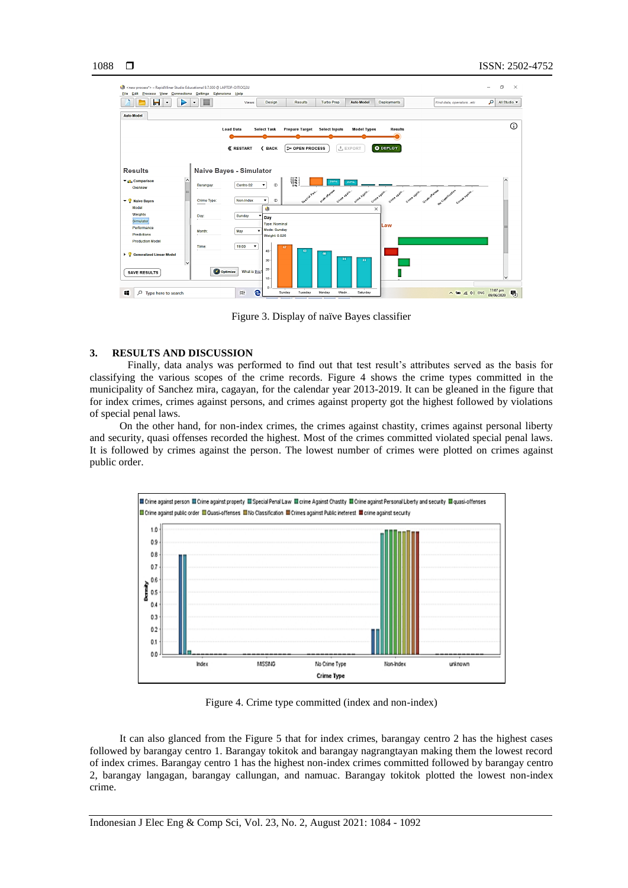

Figure 3. Display of naïve Bayes classifier

#### **3. RESULTS AND DISCUSSION**

Finally, data analys was performed to find out that test result's attributes served as the basis for classifying the various scopes of the crime records. Figure 4 shows the crime types committed in the municipality of Sanchez mira, cagayan, for the calendar year 2013-2019. It can be gleaned in the figure that for index crimes, crimes against persons, and crimes against property got the highest followed by violations of special penal laws.

On the other hand, for non-index crimes, the crimes against chastity, crimes against personal liberty and security, quasi offenses recorded the highest. Most of the crimes committed violated special penal laws. It is followed by crimes against the person. The lowest number of crimes were plotted on crimes against public order.



Figure 4. Crime type committed (index and non-index)

It can also glanced from the Figure 5 that for index crimes, barangay centro 2 has the highest cases followed by barangay centro 1. Barangay tokitok and barangay nagrangtayan making them the lowest record of index crimes. Barangay centro 1 has the highest non-index crimes committed followed by barangay centro 2, barangay langagan, barangay callungan, and namuac. Barangay tokitok plotted the lowest non-index crime.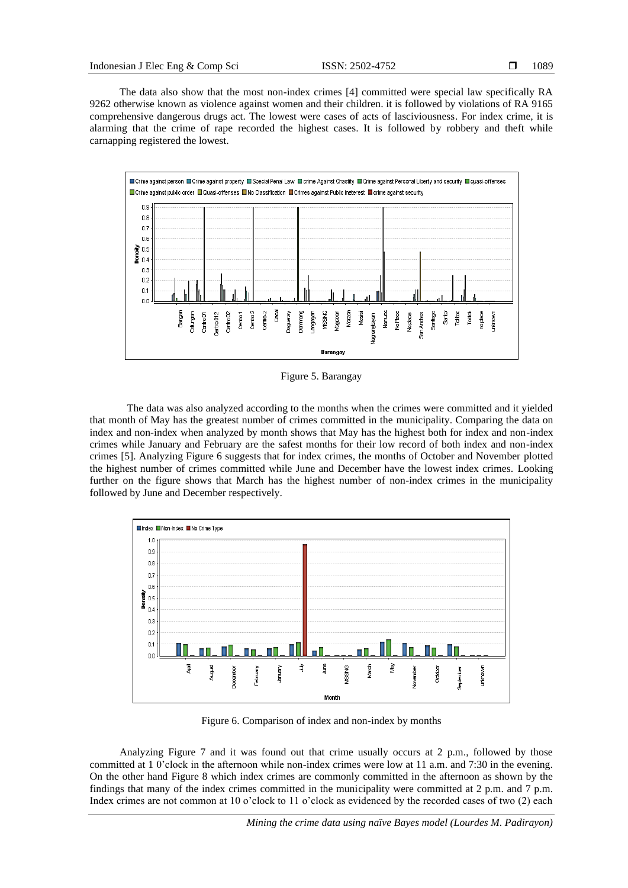The data also show that the most non-index crimes [4] committed were special law specifically RA 9262 otherwise known as violence against women and their children. it is followed by violations of RA 9165 comprehensive dangerous drugs act. The lowest were cases of acts of lasciviousness. For index crime, it is alarming that the crime of rape recorded the highest cases. It is followed by robbery and theft while carnapping registered the lowest.



Figure 5. Barangay

The data was also analyzed according to the months when the crimes were committed and it yielded that month of May has the greatest number of crimes committed in the municipality. Comparing the data on index and non-index when analyzed by month shows that May has the highest both for index and non-index crimes while January and February are the safest months for their low record of both index and non-index crimes [5]. Analyzing Figure 6 suggests that for index crimes, the months of October and November plotted the highest number of crimes committed while June and December have the lowest index crimes. Looking further on the figure shows that March has the highest number of non-index crimes in the municipality followed by June and December respectively.



Figure 6. Comparison of index and non-index by months

Analyzing Figure 7 and it was found out that crime usually occurs at 2 p.m., followed by those committed at 1 0'clock in the afternoon while non-index crimes were low at 11 a.m. and 7:30 in the evening. On the other hand Figure 8 which index crimes are commonly committed in the afternoon as shown by the findings that many of the index crimes committed in the municipality were committed at 2 p.m. and 7 p.m. Index crimes are not common at 10 o'clock to 11 o'clock as evidenced by the recorded cases of two (2) each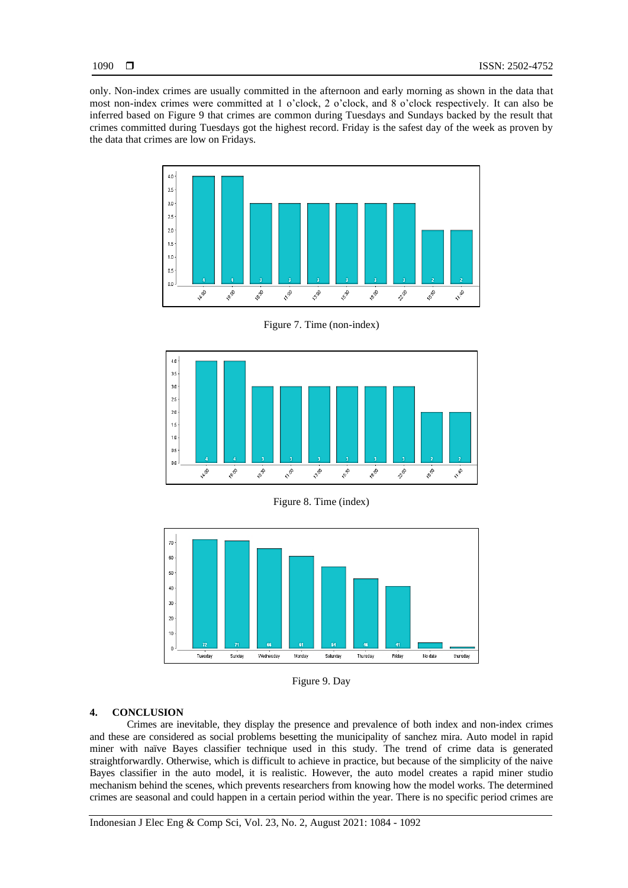only. Non-index crimes are usually committed in the afternoon and early morning as shown in the data that most non-index crimes were committed at 1 o'clock, 2 o'clock, and 8 o'clock respectively. It can also be inferred based on Figure 9 that crimes are common during Tuesdays and Sundays backed by the result that crimes committed during Tuesdays got the highest record. Friday is the safest day of the week as proven by the data that crimes are low on Fridays.



Figure 7. Time (non-index)



Figure 8. Time (index)



Figure 9. Day

# **4. CONCLUSION**

Crimes are inevitable, they display the presence and prevalence of both index and non-index crimes and these are considered as social problems besetting the municipality of sanchez mira. Auto model in rapid miner with naïve Bayes classifier technique used in this study. The trend of crime data is generated straightforwardly. Otherwise, which is difficult to achieve in practice, but because of the simplicity of the naive Bayes classifier in the auto model, it is realistic. However, the auto model creates a rapid miner studio mechanism behind the scenes, which prevents researchers from knowing how the model works. The determined crimes are seasonal and could happen in a certain period within the year. There is no specific period crimes are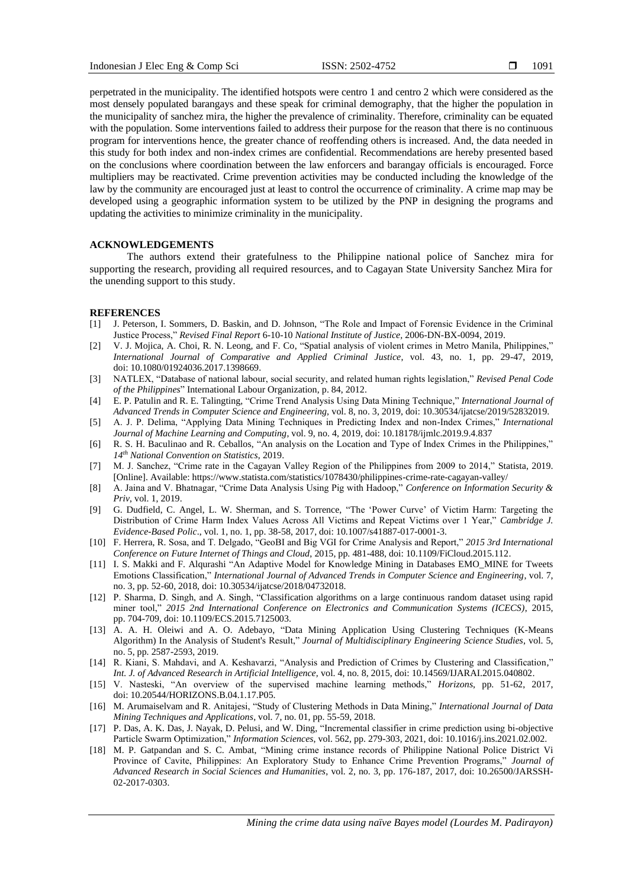perpetrated in the municipality. The identified hotspots were centro 1 and centro 2 which were considered as the most densely populated barangays and these speak for criminal demography, that the higher the population in the municipality of sanchez mira, the higher the prevalence of criminality. Therefore, criminality can be equated with the population. Some interventions failed to address their purpose for the reason that there is no continuous program for interventions hence, the greater chance of reoffending others is increased. And, the data needed in this study for both index and non-index crimes are confidential. Recommendations are hereby presented based on the conclusions where coordination between the law enforcers and barangay officials is encouraged. Force multipliers may be reactivated. Crime prevention activities may be conducted including the knowledge of the law by the community are encouraged just at least to control the occurrence of criminality. A crime map may be developed using a geographic information system to be utilized by the PNP in designing the programs and updating the activities to minimize criminality in the municipality.

#### **ACKNOWLEDGEMENTS**

The authors extend their gratefulness to the Philippine national police of Sanchez mira for supporting the research, providing all required resources, and to Cagayan State University Sanchez Mira for the unending support to this study.

#### **REFERENCES**

- [1] J. Peterson, I. Sommers, D. Baskin, and D. Johnson, "The Role and Impact of Forensic Evidence in the Criminal Justice Process," *Revised Final Report* 6-10-10 *National Institute of Justice,* 2006-DN-BX-0094, 2019.
- [2] V. J. Mojica, A. Choi, R. N. Leong, and F. Co, "Spatial analysis of violent crimes in Metro Manila, Philippines," *International Journal of Comparative and Applied Criminal Justice*, vol. 43, no. 1, pp. 29-47, 2019, doi: 10.1080/01924036.2017.1398669.
- [3] NATLEX, "Database of national labour, social security, and related human rights legislation," *Revised Penal Code of the Philippines*" International Labour Organization, p. 84, 2012.
- [4] E. P. Patulin and R. E. Talingting, "Crime Trend Analysis Using Data Mining Technique," *International Journal of Advanced Trends in Computer Science and Engineering,* vol. 8, no. 3, 2019, doi: 10.30534/ijatcse/2019/52832019.
- [5] A. J. P. Delima, "Applying Data Mining Techniques in Predicting Index and non-Index Crimes," *International Journal of Machine Learning and Computing*, vol. 9, no. 4, 2019, doi: 10.18178/ijmlc.2019.9.4.837
- [6] R. S. H. Baculinao and R. Ceballos, "An analysis on the Location and Type of Index Crimes in the Philippines," *14th National Convention on Statistics*, 2019.
- [7] M. J. Sanchez, "Crime rate in the Cagayan Valley Region of the Philippines from 2009 to 2014," Statista, 2019. [Online]. Available: https://www.statista.com/statistics/1078430/philippines-crime-rate-cagayan-valley/
- [8] A. Jaina and V. Bhatnagar, "Crime Data Analysis Using Pig with Hadoop," *Conference on Information Security & Priv*, vol. 1, 2019.
- [9] G. Dudfield, C. Angel, L. W. Sherman, and S. Torrence, "The 'Power Curve' of Victim Harm: Targeting the Distribution of Crime Harm Index Values Across All Victims and Repeat Victims over 1 Year," *Cambridge J. Evidence-Based Polic*., vol. 1, no. 1, pp. 38-58, 2017, doi: 10.1007/s41887-017-0001-3.
- [10] F. Herrera, R. Sosa, and T. Delgado, "GeoBI and Big VGI for Crime Analysis and Report," *2015 3rd International Conference on Future Internet of Things and Cloud*, 2015, pp. 481-488, doi: 10.1109/FiCloud.2015.112.
- [11] I. S. Makki and F. Alqurashi "An Adaptive Model for Knowledge Mining in Databases EMO\_MINE for Tweets Emotions Classification," *International Journal of Advanced Trends in Computer Science and Engineering*, vol. 7, no. 3, pp. 52-60, 2018, doi: 10.30534/ijatcse/2018/04732018.
- [12] P. Sharma, D. Singh, and A. Singh, "Classification algorithms on a large continuous random dataset using rapid miner tool," *2015 2nd International Conference on Electronics and Communication Systems (ICECS)*, 2015, pp. 704-709, doi: 10.1109/ECS.2015.7125003.
- [13] A. A. H. Oleiwi and A. O. Adebayo, "Data Mining Application Using Clustering Techniques (K-Means Algorithm) In the Analysis of Student's Result," *Journal of Multidisciplinary Engineering Science Studies*, vol. 5, no. 5, pp. 2587-2593, 2019.
- [14] R. Kiani, S. Mahdavi, and A. Keshavarzi, "Analysis and Prediction of Crimes by Clustering and Classification," *Int. J. of Advanced Research in Artificial Intelligence,* vol. 4, no. 8, 2015, doi: 10.14569/IJARAI.2015.040802.
- [15] V. Nasteski, "An overview of the supervised machine learning methods," *Horizons*, pp. 51-62, 2017, doi: 10.20544/HORIZONS.B.04.1.17.P05.
- [16] M. Arumaiselvam and R. Anitajesi, "Study of Clustering Methods in Data Mining," *International Journal of Data Mining Techniques and Applications*, vol. 7, no. 01, pp. 55-59, 2018.
- [17] P. Das, A. K. Das, J. Nayak, D. Pelusi, and W. Ding, "Incremental classifier in crime prediction using bi-objective Particle Swarm Optimization," *Information Sciences*, vol. 562, pp. 279-303, 2021, doi: 10.1016/j.ins.2021.02.002.
- [18] M. P. Gatpandan and S. C. Ambat, "Mining crime instance records of Philippine National Police District Vi Province of Cavite, Philippines: An Exploratory Study to Enhance Crime Prevention Programs," *Journal of Advanced Research in Social Sciences and Humanities*, vol. 2, no. 3, pp. 176-187, 2017, doi: 10.26500/JARSSH-02-2017-0303.